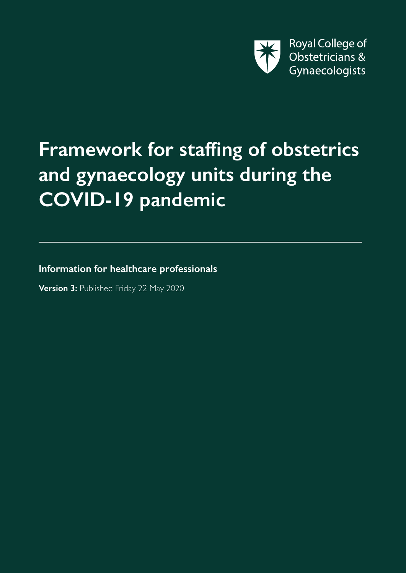

# **Framework for staffing of obstetrics and gynaecology units during the COVID-19 pandemic**

**Information for healthcare professionals**

**Version 3:** Published Friday 22 May 2020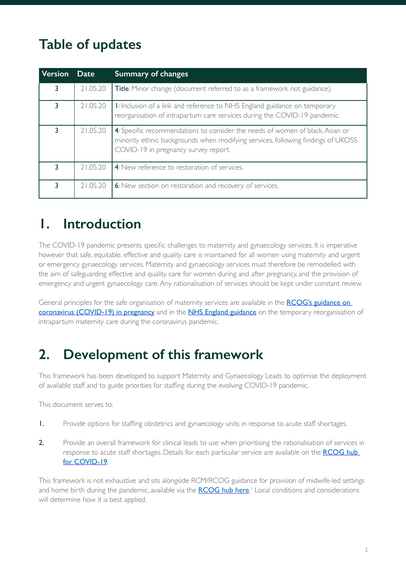## **Table of updates**

| <b>Version</b> | <b>Date</b> | <b>Summary of changes</b>                                                                                                                                                                                 |
|----------------|-------------|-----------------------------------------------------------------------------------------------------------------------------------------------------------------------------------------------------------|
| 3              | 21.05.20    | Title: Minor change (document referred to as a framework not guidance).                                                                                                                                   |
| 3              | 21.05.20    | I: Inclusion of a link and reference to NHS England guidance on temporary<br>reorganisation of intrapartum care services during the COVID-19 pandemic.                                                    |
| 3              | 21.05.20    | 4: Specific recommendations to consider the needs of women of black, Asian or<br>minority ethnic backgrounds when modifying services, following findings of UKOSS<br>COVID-19 in pregnancy survey report. |
| 3              | 21.05.20    | 4: New reference to restoration of services.                                                                                                                                                              |
| 3              | 21.05.20    | 6: New section on restoration and recovery of services.                                                                                                                                                   |

## **1. Introduction**

The COVID-19 pandemic presents specific challenges to maternity and gynaecology services. It is imperative however that safe, equitable, effective and quality care is maintained for all women using maternity and urgent or emergency gynaecology services. Maternity and gynaecology services must therefore be remodelled with the aim of safeguarding effective and quality care for women during and after pregnancy, and the provision of emergency and urgent gynaecology care. Any rationalisation of services should be kept under constant review.

General principles for the safe organisation of maternity services are available in the **RCOG's guidance on** [coronavirus \(COVID-19\) in pregnancy](https://www.rcog.org.uk/en/guidelines-research-services/guidelines/coronavirus-pregnancy/) and in the [NHS England guidance](https://www.england.nhs.uk/coronavirus/wp-content/uploads/sites/52/2020/04/C0241-specialty-guide-intrapartum-maternity-care-9-april-2020.pdf) on the temporary reorganisation of intrapartum maternity care during the coronavirus pandemic.

## **2. Development of this framework**

This framework has been developed to support Maternity and Gynaecology Leads to optimise the deployment of available staff and to guide priorities for staffing during the evolving COVID-19 pandemic.

This document serves to:

- 1. Provide options for staffing obstetrics and gynaecology units in response to acute staff shortages.
- 2. Provide an overall framework for clinical leads to use when prioritising the rationalisation of services in response to acute staff shortages. Details for each particular service are available on the RCOG hub [for COVID-19](https://www.rcog.org.uk/en/guidelines-research-services/coronavirus-covid-19-pregnancy-and-womens-health/coronavirus-covid-19-and-gynaecological-services/).

This framework is not exhaustive and sits alongside RCM/RCOG guidance for provision of midwife-led settings and home birth during the pandemic, available via the **[RCOG hub here](https://www.rcog.org.uk/en/guidelines-research-services/guidelines/coronavirus-pregnancy/)**.<sup>1</sup> Local conditions and considerations will determine how it is best applied.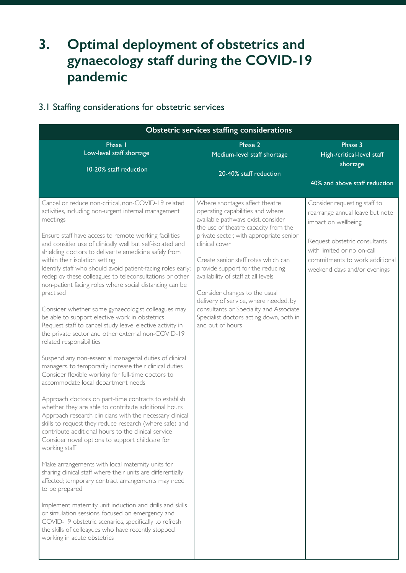### **3. Optimal deployment of obstetrics and gynaecology staff during the COVID-19 pandemic**

#### 3.1 Staffing considerations for obstetric services

| <b>Obstetric services staffing considerations</b>                                                                                                                                                                                                                                                                                                                                                                                                                                                                                                                                                                                                                                                                                                                                                                                                                                                                                                                                                          |                                                                                                                                                                                                                                                                                                                                                                 |                                                                                                                               |  |  |  |
|------------------------------------------------------------------------------------------------------------------------------------------------------------------------------------------------------------------------------------------------------------------------------------------------------------------------------------------------------------------------------------------------------------------------------------------------------------------------------------------------------------------------------------------------------------------------------------------------------------------------------------------------------------------------------------------------------------------------------------------------------------------------------------------------------------------------------------------------------------------------------------------------------------------------------------------------------------------------------------------------------------|-----------------------------------------------------------------------------------------------------------------------------------------------------------------------------------------------------------------------------------------------------------------------------------------------------------------------------------------------------------------|-------------------------------------------------------------------------------------------------------------------------------|--|--|--|
| Phase 1<br>Low-level staff shortage                                                                                                                                                                                                                                                                                                                                                                                                                                                                                                                                                                                                                                                                                                                                                                                                                                                                                                                                                                        | Phase 2<br>Medium-level staff shortage                                                                                                                                                                                                                                                                                                                          | Phase 3<br>High-/critical-level staff<br>shortage                                                                             |  |  |  |
| 10-20% staff reduction                                                                                                                                                                                                                                                                                                                                                                                                                                                                                                                                                                                                                                                                                                                                                                                                                                                                                                                                                                                     | 20-40% staff reduction                                                                                                                                                                                                                                                                                                                                          |                                                                                                                               |  |  |  |
|                                                                                                                                                                                                                                                                                                                                                                                                                                                                                                                                                                                                                                                                                                                                                                                                                                                                                                                                                                                                            |                                                                                                                                                                                                                                                                                                                                                                 | 40% and above staff reduction                                                                                                 |  |  |  |
| Cancel or reduce non-critical, non-COVID-19 related<br>activities, including non-urgent internal management<br>meetings                                                                                                                                                                                                                                                                                                                                                                                                                                                                                                                                                                                                                                                                                                                                                                                                                                                                                    | Where shortages affect theatre<br>operating capabilities and where<br>available pathways exist, consider<br>the use of theatre capacity from the                                                                                                                                                                                                                | Consider requesting staff to<br>rearrange annual leave but note<br>impact on wellbeing                                        |  |  |  |
| Ensure staff have access to remote working facilities<br>and consider use of clinically well but self-isolated and<br>shielding doctors to deliver telemedicine safely from<br>within their isolation setting<br>Identify staff who should avoid patient-facing roles early;<br>redeploy these colleagues to teleconsultations or other<br>non-patient facing roles where social distancing can be<br>practised<br>Consider whether some gynaecologist colleagues may<br>be able to support elective work in obstetrics<br>Request staff to cancel study leave, elective activity in<br>the private sector and other external non-COVID-19<br>related responsibilities                                                                                                                                                                                                                                                                                                                                     | private sector, with appropriate senior<br>clinical cover<br>Create senior staff rotas which can<br>provide support for the reducing<br>availability of staff at all levels<br>Consider changes to the usual<br>delivery of service, where needed, by<br>consultants or Speciality and Associate<br>Specialist doctors acting down, both in<br>and out of hours | Request obstetric consultants<br>with limited or no on-call<br>commitments to work additional<br>weekend days and/or evenings |  |  |  |
| Suspend any non-essential managerial duties of clinical<br>managers, to temporarily increase their clinical duties<br>Consider flexible working for full-time doctors to<br>accommodate local department needs<br>Approach doctors on part-time contracts to establish<br>whether they are able to contribute additional hours<br>Approach research clinicians with the necessary clinical<br>skills to request they reduce research (where safe) and<br>contribute additional hours to the clinical service<br>Consider novel options to support childcare for<br>working staff<br>Make arrangements with local maternity units for<br>sharing clinical staff where their units are differentially<br>affected; temporary contract arrangements may need<br>to be prepared<br>Implement maternity unit induction and drills and skills<br>or simulation sessions, focused on emergency and<br>COVID-19 obstetric scenarios, specifically to refresh<br>the skills of colleagues who have recently stopped |                                                                                                                                                                                                                                                                                                                                                                 |                                                                                                                               |  |  |  |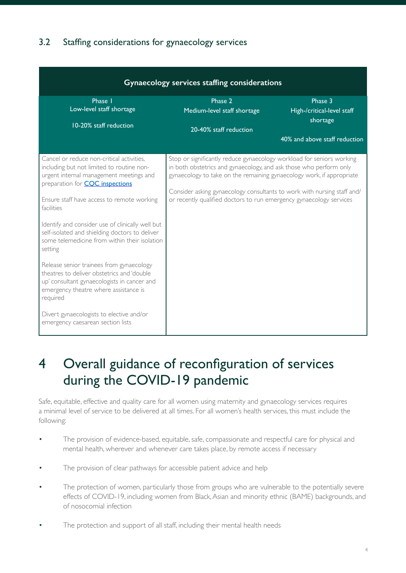#### 3.2 Staffing considerations for gynaecology services

| Gynaecology services staffing considerations                                                                                                                                                                                                                                                                                                                                                                                                                                                                                                                                                            |                                                                                                                                                                                                                                                                                                                                                                        |                                       |  |  |  |  |
|---------------------------------------------------------------------------------------------------------------------------------------------------------------------------------------------------------------------------------------------------------------------------------------------------------------------------------------------------------------------------------------------------------------------------------------------------------------------------------------------------------------------------------------------------------------------------------------------------------|------------------------------------------------------------------------------------------------------------------------------------------------------------------------------------------------------------------------------------------------------------------------------------------------------------------------------------------------------------------------|---------------------------------------|--|--|--|--|
| Phase 1<br>Low-level staff shortage                                                                                                                                                                                                                                                                                                                                                                                                                                                                                                                                                                     | Phase 2<br>Medium-level staff shortage                                                                                                                                                                                                                                                                                                                                 | Phase 3<br>High-/critical-level staff |  |  |  |  |
| 10-20% staff reduction                                                                                                                                                                                                                                                                                                                                                                                                                                                                                                                                                                                  | 20-40% staff reduction                                                                                                                                                                                                                                                                                                                                                 | shortage                              |  |  |  |  |
|                                                                                                                                                                                                                                                                                                                                                                                                                                                                                                                                                                                                         |                                                                                                                                                                                                                                                                                                                                                                        | 40% and above staff reduction         |  |  |  |  |
| Cancel or reduce non-critical activities,<br>including but not limited to routine non-<br>urgent internal management meetings and<br>preparation for <b>CQC</b> inspections<br>Ensure staff have access to remote working<br>facilities<br>Identify and consider use of clinically well but<br>self-isolated and shielding doctors to deliver<br>some telemedicine from within their isolation<br>setting<br>Release senior trainees from gynaecology<br>theatres to deliver obstetrics and 'double<br>up' consultant gynaecologists in cancer and<br>emergency theatre where assistance is<br>required | Stop or significantly reduce gynaecology workload for seniors working<br>in both obstetrics and gynaecology, and ask those who perform only<br>gynaecology to take on the remaining gynaecology work, if appropriate<br>Consider asking gynaecology consultants to work with nursing staff and/<br>or recently qualified doctors to run emergency gynaecology services |                                       |  |  |  |  |
| Divert gynaecologists to elective and/or<br>emergency caesarean section lists                                                                                                                                                                                                                                                                                                                                                                                                                                                                                                                           |                                                                                                                                                                                                                                                                                                                                                                        |                                       |  |  |  |  |

### 4 Overall guidance of reconfiguration of services during the COVID-19 pandemic

Safe, equitable, effective and quality care for all women using maternity and gynaecology services requires a minimal level of service to be delivered at all times. For all women's health services, this must include the following:

- The provision of evidence-based, equitable, safe, compassionate and respectful care for physical and mental health, wherever and whenever care takes place, by remote access if necessary
- The provision of clear pathways for accessible patient advice and help
- The protection of women, particularly those from groups who are vulnerable to the potentially severe effects of COVID-19, including women from Black, Asian and minority ethnic (BAME) backgrounds, and of nosocomial infection
- The protection and support of all staff, including their mental health needs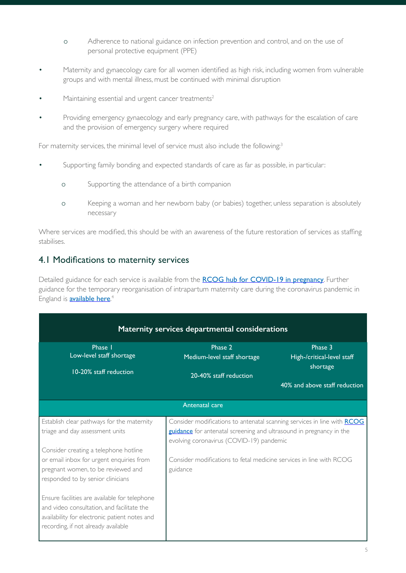- o Adherence to national guidance on infection prevention and control, and on the use of personal protective equipment (PPE)
- Maternity and gynaecology care for all women identified as high risk, including women from vulnerable groups and with mental illness, must be continued with minimal disruption
- Maintaining essential and urgent cancer treatments<sup>2</sup>
- Providing emergency gynaecology and early pregnancy care, with pathways for the escalation of care and the provision of emergency surgery where required

For maternity services, the minimal level of service must also include the following:<sup>3</sup>

- Supporting family bonding and expected standards of care as far as possible, in particular:
	- o Supporting the attendance of a birth companion
	- o Keeping a woman and her newborn baby (or babies) together, unless separation is absolutely necessary

Where services are modified, this should be with an awareness of the future restoration of services as staffing stabilises.

#### 4.1 Modifications to maternity services

Detailed guidance for each service is available from the [RCOG hub for COVID-19 in pregnancy](https://www.rcog.org.uk/coronavirus-pregnancy). Further guidance for the temporary reorganisation of intrapartum maternity care during the coronavirus pandemic in England is **<u>[available here](https://www.england.nhs.uk/coronavirus/wp-content/uploads/sites/52/2020/04/C0241-specialty-guide-intrapartum-maternity-care-9-april-2020.pdf)</u>.**<sup>4</sup>

| Maternity services departmental considerations                                                                                                                                      |                                                                                                                                                                                                   |                                        |  |  |  |  |
|-------------------------------------------------------------------------------------------------------------------------------------------------------------------------------------|---------------------------------------------------------------------------------------------------------------------------------------------------------------------------------------------------|----------------------------------------|--|--|--|--|
| Phase I<br>Low-level staff shortage                                                                                                                                                 | Phase 2                                                                                                                                                                                           | Phase 3                                |  |  |  |  |
|                                                                                                                                                                                     | Medium-level staff shortage                                                                                                                                                                       | High-/critical-level staff<br>shortage |  |  |  |  |
| 10-20% staff reduction                                                                                                                                                              | 20-40% staff reduction                                                                                                                                                                            |                                        |  |  |  |  |
|                                                                                                                                                                                     |                                                                                                                                                                                                   | 40% and above staff reduction          |  |  |  |  |
| Antenatal care                                                                                                                                                                      |                                                                                                                                                                                                   |                                        |  |  |  |  |
| Establish clear pathways for the maternity<br>triage and day assessment units                                                                                                       | Consider modifications to antenatal scanning services in line with <b>RCOG</b><br>guidance for antenatal screening and ultrasound in pregnancy in the<br>evolving coronavirus (COVID-19) pandemic |                                        |  |  |  |  |
| Consider creating a telephone hotline                                                                                                                                               |                                                                                                                                                                                                   |                                        |  |  |  |  |
| or email inbox for urgent enquiries from<br>pregnant women, to be reviewed and<br>responded to by senior clinicians                                                                 | Consider modifications to fetal medicine services in line with RCOG<br>guidance                                                                                                                   |                                        |  |  |  |  |
| Ensure facilities are available for telephone<br>and video consultation, and facilitate the<br>availability for electronic patient notes and<br>recording, if not already available |                                                                                                                                                                                                   |                                        |  |  |  |  |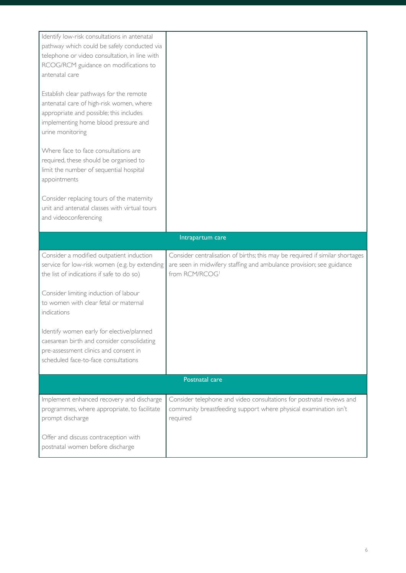| Identify low-risk consultations in antenatal<br>pathway which could be safely conducted via                                                                                                |                                                                                                                                                                       |
|--------------------------------------------------------------------------------------------------------------------------------------------------------------------------------------------|-----------------------------------------------------------------------------------------------------------------------------------------------------------------------|
| telephone or video consultation, in line with<br>RCOG/RCM guidance on modifications to                                                                                                     |                                                                                                                                                                       |
| antenatal care                                                                                                                                                                             |                                                                                                                                                                       |
| Establish clear pathways for the remote<br>antenatal care of high-risk women, where<br>appropriate and possible; this includes<br>implementing home blood pressure and<br>urine monitoring |                                                                                                                                                                       |
| Where face to face consultations are<br>required, these should be organised to<br>limit the number of sequential hospital<br>appointments                                                  |                                                                                                                                                                       |
| Consider replacing tours of the maternity<br>unit and antenatal classes with virtual tours<br>and videoconferencing                                                                        |                                                                                                                                                                       |
|                                                                                                                                                                                            | Intrapartum care                                                                                                                                                      |
| Consider a modified outpatient induction<br>service for low-risk women (e.g. by extending<br>the list of indications if safe to do so)                                                     | Consider centralisation of births; this may be required if similar shortages<br>are seen in midwifery staffing and ambulance provision; see guidance<br>from RCM/RCOG |
| Consider limiting induction of labour<br>to women with clear fetal or maternal<br>indications                                                                                              |                                                                                                                                                                       |
| Identify women early for elective/planned<br>caesarean birth and consider consolidating<br>pre-assessment clinics and consent in                                                           |                                                                                                                                                                       |
| scheduled face-to-face consultations                                                                                                                                                       |                                                                                                                                                                       |
|                                                                                                                                                                                            | Postnatal care                                                                                                                                                        |
| Implement enhanced recovery and discharge<br>programmes, where appropriate, to facilitate<br>prompt discharge                                                                              | Consider telephone and video consultations for postnatal reviews and<br>community breastfeeding support where physical examination isn't<br>required                  |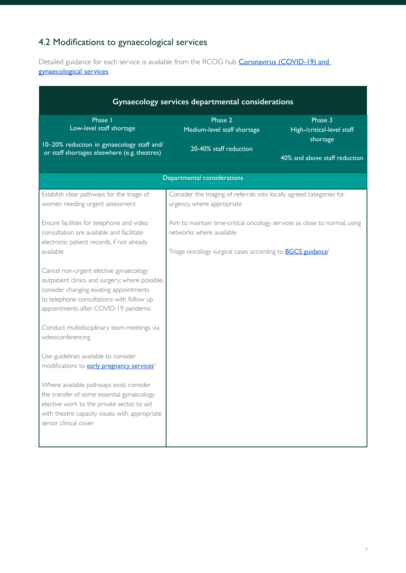#### 4.2 Modifications to gynaecological services

Detailed guidance for each service is available from the RCOG hub **Coronavirus (COVID-19) and** [gynaecological services](https://www.rcog.org.uk/en/guidelines-research-services/coronavirus-covid-19-pregnancy-and-womens-health/coronavirus-covid-19-and-gynaecological-services/).

| Gynaecology services departmental considerations                                                                                                                                                                                                                                                                                                                                                                                                                                                                                                                                                                                                                                                                                                                                |                                                                                                                                                                                        |                                                                                    |  |  |  |  |
|---------------------------------------------------------------------------------------------------------------------------------------------------------------------------------------------------------------------------------------------------------------------------------------------------------------------------------------------------------------------------------------------------------------------------------------------------------------------------------------------------------------------------------------------------------------------------------------------------------------------------------------------------------------------------------------------------------------------------------------------------------------------------------|----------------------------------------------------------------------------------------------------------------------------------------------------------------------------------------|------------------------------------------------------------------------------------|--|--|--|--|
| Phase 1<br>Low-level staff shortage<br>10-20% reduction in gynaecology staff and/<br>or staff shortages elsewhere (e.g. theatres)                                                                                                                                                                                                                                                                                                                                                                                                                                                                                                                                                                                                                                               | Phase 2<br>Medium-level staff shortage<br>20-40% staff reduction                                                                                                                       | Phase 3<br>High-/critical-level staff<br>shortage<br>40% and above staff reduction |  |  |  |  |
|                                                                                                                                                                                                                                                                                                                                                                                                                                                                                                                                                                                                                                                                                                                                                                                 | Departmental considerations                                                                                                                                                            |                                                                                    |  |  |  |  |
| Establish clear pathways for the triage of<br>women needing urgent assessment                                                                                                                                                                                                                                                                                                                                                                                                                                                                                                                                                                                                                                                                                                   | Consider the triaging of referrals into locally agreed categories for<br>urgency, where appropriate                                                                                    |                                                                                    |  |  |  |  |
| Ensure facilities for telephone and video<br>consultation are available and facilitate<br>electronic patient records, if not already<br>available<br>Cancel non-urgent elective gynaecology<br>outpatient clinics and surgery; where possible,<br>consider changing existing appointments<br>to telephone consultations with follow up<br>appointments after COVID-19 pandemic<br>Conduct multidisciplinary team meetings via<br>videoconferencing<br>Use guidelines available to consider<br>modifications to <b>early pregnancy services</b> <sup>6</sup><br>Where available pathways exist, consider<br>the transfer of some essential gynaecology<br>elective work to the private sector, to aid<br>with theatre capacity issues, with appropriate<br>senior clinical cover | Aim to maintain time-critical oncology services as close to normal, using<br>networks where available<br>Triage oncology surgical cases according to <b>BGCS guidance</b> <sup>5</sup> |                                                                                    |  |  |  |  |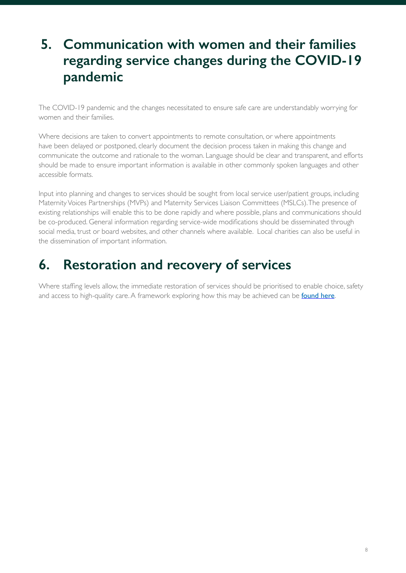### **5. Communication with women and their families regarding service changes during the COVID-19 pandemic**

The COVID-19 pandemic and the changes necessitated to ensure safe care are understandably worrying for women and their families.

Where decisions are taken to convert appointments to remote consultation, or where appointments have been delayed or postponed, clearly document the decision process taken in making this change and communicate the outcome and rationale to the woman. Language should be clear and transparent, and efforts should be made to ensure important information is available in other commonly spoken languages and other accessible formats.

Input into planning and changes to services should be sought from local service user/patient groups, including Maternity Voices Partnerships (MVPs) and Maternity Services Liaison Committees (MSLCs). The presence of existing relationships will enable this to be done rapidly and where possible, plans and communications should be co-produced. General information regarding service-wide modifications should be disseminated through social media, trust or board websites, and other channels where available. Local charities can also be useful in the dissemination of important information.

#### **6. Restoration and recovery of services**

Where staffing levels allow, the immediate restoration of services should be prioritised to enable choice, safety and access to high-quality care. A framework exploring how this may be achieved can be **[found here](https://www.rcog.org.uk/globalassets/documents/guidelines/2020-05-15-restoration-and-recovery---priorities-for-obstetrics-and-gynaecology.pdf)**.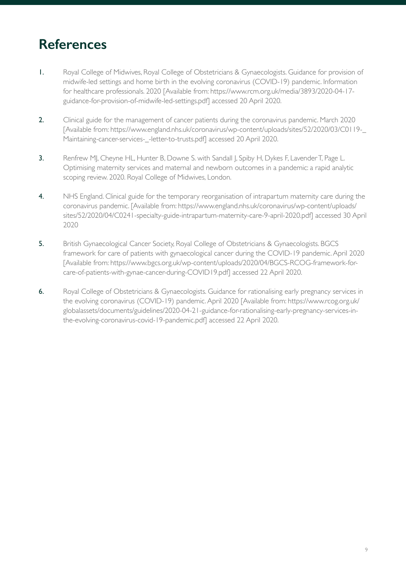#### **References**

- 1. Royal College of Midwives, Royal College of Obstetricians & Gynaecologists. Guidance for provision of midwife-led settings and home birth in the evolving coronavirus (COVID-19) pandemic. Information for healthcare professionals. 2020 [Available from: https://www.rcm.org.uk/media/3893/2020-04-17 guidance-for-provision-of-midwife-led-settings.pdf] accessed 20 April 2020.
- 2. Clinical guide for the management of cancer patients during the coronavirus pandemic. March 2020 [Available from: https://www.england.nhs.uk/coronavirus/wp-content/uploads/sites/52/2020/03/C0119-\_ Maintaining-cancer-services-\_-letter-to-trusts.pdf] accessed 20 April 2020.
- 3. Renfrew MJ, Cheyne HL, Hunter B, Downe S. with Sandall J, Spiby H, Dykes F, Lavender T, Page L. Optimising maternity services and maternal and newborn outcomes in a pandemic: a rapid analytic scoping review. 2020. Royal College of Midwives, London.
- 4. NHS England. Clinical guide for the temporary reorganisation of intrapartum maternity care during the coronavirus pandemic. [Available from: https://www.england.nhs.uk/coronavirus/wp-content/uploads/ sites/52/2020/04/C0241-specialty-guide-intrapartum-maternity-care-9-april-2020.pdf] accessed 30 April 2020
- 5. British Gynaecological Cancer Society, Royal College of Obstetricians & Gynaecologists. BGCS framework for care of patients with gynaecological cancer during the COVID-19 pandemic. April 2020 [Available from: https://www.bgcs.org.uk/wp-content/uploads/2020/04/BGCS-RCOG-framework-forcare-of-patients-with-gynae-cancer-during-COVID19.pdf] accessed 22 April 2020.
- 6. Royal College of Obstetricians & Gynaecologists. Guidance for rationalising early pregnancy services in the evolving coronavirus (COVID-19) pandemic. April 2020 [Available from: https://www.rcog.org.uk/ globalassets/documents/guidelines/2020-04-21-guidance-for-rationalising-early-pregnancy-services-inthe-evolving-coronavirus-covid-19-pandemic.pdf] accessed 22 April 2020.